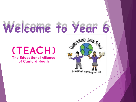# Welcome to Year 6

#### (TEACH) **The Educational Alliance**

of Canford Heath

Start Heath Junior Sc. Bringing Learning to Life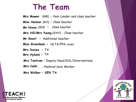# **The Team**

**Mrs Mawer** (6M) – *Year Leader and class teacher* **Miss Hannan** (6H) – *Class teacher* **Mr Nixon** (6N) – *Class teacher* **Mrs Hill/Mrs Young** (6YH) - Class teacher **Mr Roast –** *Additional teacher* **Miss Greenham** – **-** *HLTA/PPA cover* **Mrs Davies** – *TA*  **Mrs Hyland** *– TA* **Mrs Tantrum** – Deputy Head/DSL/Interventions **Mrs Cobb** - *Pastoral Care Worker*

**Mrs Walker – SEN TA**



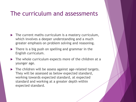#### The curriculum and assessments

- $\blacktriangleright$  The current maths curriculum is a mastery curriculum, which involves a deeper understanding and a much greater emphasis on problem solving and reasoning.
- **There is a big push on spelling and grammar in the** English curriculum.
- The whole curriculum expects more of the children at a younger age.
- ▶ The children will be assess against age-related targets. They will be assessed as below expected standard, working towards expected standard, at expected standard and working at a greater depth within expected standard.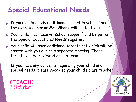#### **Special Educational Needs**

- If your child needs additional support in school then the class teacher or **Mrs Short** will contact you.
- Your child may receive 'school support' and be put on the Special Educational Needs register.
- Your child will have additional targets set which will be shared with you during a separate meeting. These targets will be reviewed once a term.

If you have any concerns regarding your child and special needs, please speak to your child's class teacher.



(TFACH) **Educational Alliance** of Canford Heath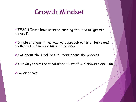#### **Growth Mindset**

 $\checkmark$ TEACH Trust have started pushing the idea of 'growth mindset'.

✓Simple changes in the way we approach our life, tasks and challenges can make a huge difference.

 $\checkmark$  Not about the final 'result', more about the process.

✓Thinking about the vocabulary all staff and children are using.

✓Power of yet!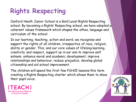### **Rights Respecting**

Canford Heath Junior School is a Gold Level Rights Respecting school. By becoming a Rights' Respecting school, we have adopted  $\alpha$ coherent values framework which shapes the ethos, language and curriculum of the school.

In our learning, teaching, action and word, we recognise and support the rights of all children, irrespective of race, religion, ability or gender. This, and our core values of lifelong learning, creativity and respect, support us in our aim to improve self esteem, enhance moral and academic development, improve relationships and behaviour, reduce prejudice, develop global citizenship and aid school improvement.

The children will spend the first few PSHCE lessons this term creating a Rights Respecting charter which allows them to show their pupil voice.



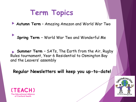# **Term Topics**

**Autumn Term** – Amazing Amazon and World War Two

Spring Term – Wedd Wer Two and Wenderful Me We impose that we have the worder world of parties **Spring Term** – World War Two and Wonderful Me

**Summer Term** - SATs, The Earth from the Air, Rugby Rules tournament, Year 6 Residential to Osmington Bay residential, Constanting and the Leavers' assembly

**Regular Newsletters will keep you up-to-date!**



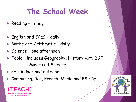# **The School Week**

- **Reading daily has a time per week for a time of a time of a time of a time of a time of a time of a time of a**
- **English and SPaG daily**
- **Maths and Arithmetic daily**
- Science one afternoon
- ▶ Topic includes Geography, History Art, D&T, Music and Science
- PE indoor and outdoor
- ▶ Computing, RaP, French, Music and PSHCE



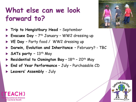# **What else can we look forward to?**

- **Trip to Hengistbury Head**  September
- **Evacuee Day**  7th January WW2 dressing up
- **VE Day**  Party food / WW2 dressing up
- **Darwin, Evolution and Inheritance**  February? TBC
- **SATs party –** 13th May
- **Residential to Osmington Bay** 18<sup>th</sup> 20<sup>th</sup> May
- **End of Year Performance** July Purchasable CD
- **Leavers' Assembly**  July





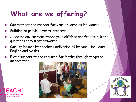# **What are we offering?**

- Commitment and respect for your children as individuals
- Building on previous years' progress
- A secure environment where your children are free to ask the questions they want answered
- Quality lessons by teachers delivering all lessons including English and Maths
- Extra support where required for Maths through targeted intervention.





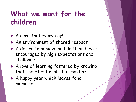#### What we want for the **children**

- A new start every day!
- An environment of shared respect
- A desire to achieve and do their best encouraged by high expectations and challenge
- A love of learning fostered by knowing that their best is all that matters!
- A happy year which leaves fond memories.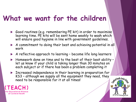#### **What we want for the children**

- Good routines (e.g. remembering PE kit) in order to maximise learning time. PE kits will be sent home weekly to wash which will ensure good hygiene in line with government guidelines.
- A commitment to doing their best and achieving potential in all work
- A reflective approach to learning become life long learners
- Homework done on time and to the best of their best ability let us know if your child is taking longer than 30 minutes on each subject or if there has been a problem completing it
- **Increased independence in their learning in preparation for** KS3 – although we supply all the equipment they need, they need to be responsible for it at all times!



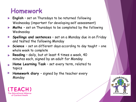#### **Homework**

- **English**  set on Thursdays to be returned following Wednesday (important for developing self assessment)
- **Maths**  set on Thursdays to be completed by the following Wednesday
- **Spellings and sentences** set on a Monday due in on Friday and tested the following Monday
- **Science**  set on different days according to day taught one whole week to complete
- **Reading** daily, but at least 4 times a week, 40 minutes each, signed by an adult for Monday
- **Home Learning Task** set every term, related to topics
- Homework diary signed by the teacher every Monday



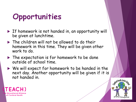

of Canford Heath

- If homework is not handed in, an opportunity will be given at lunchtime.
- $\blacktriangleright$  The children will not be allowed to do their homework in this time. They will be given other work to do.
- $\blacktriangleright$  The expectation is for homework to be done outside of school time.
- We will expect for homework to be handed in the next day. Another opportunity will be given if it is not handed in.

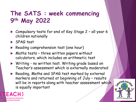#### **The SATS : week commencing 9th May 2022**

- ▶ Compulsory tests for end of Key Stage 2 all year 6 children nationally
- SPAG test

Canford Heath

- Reading comprehension test (one hour)
- $\triangleright$  Maths tests three written papers without calculators, which includes an arithmetic test
- ▶ Writing no written test. Writing grade based on Teacher's assessment which is externally moderated
- **Reading, Maths and SPAG test marked by external** markers and returned at beginning of July – results will be in reports along with teacher assessment which is equally important

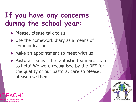# **If you have any concerns during the school year:**

Please, please talk to us!

`anford Heath

- ▶ Use the homework diary as a means of communication
- $\triangleright$  Make an appointment to meet with us
- $\blacktriangleright$  Pastoral issues the fantastic team are there to help! We were recognised by the DFE for the quality of our pastoral care so please, please use them.

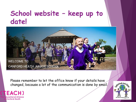#### **School website – keep up to date!**

**WELCOME TO** CANFORD HEATH JUNIOR SCHOOL

Please remember to let the office know if your details have changed, because a lot of the communication is done by email.



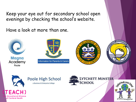Keep your eye out for secondary school open evenings by checking the school's website.

Have a look at more than one.





**Educational Alliance** of Canford Heath